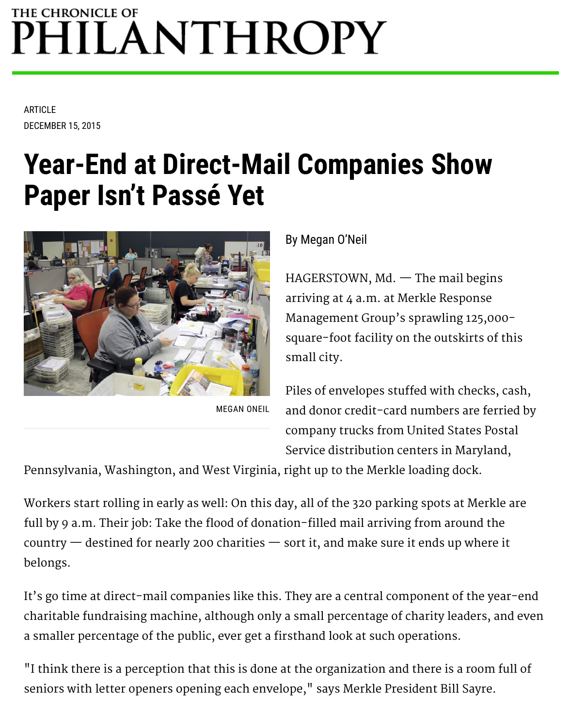# THE CHRONICLE OF PHILANTHROPY

ARTICLE DECEMBER 15, 2015

# **Year-End at Direct-Mail Companies Show Paper Isn't Passé Yet**



MEGAN ONEIL

By Megan O'Neil

 $HAGERSTOWN, Md.$  The mail begins arriving at 4 a.m. at Merkle Response Management Group's sprawling 125,000 square-foot facility on the outskirts of this small city.

Piles of envelopes stuffed with checks, cash, and donor credit-card numbers are ferried by company trucks from United States Postal Service distribution centers in Maryland,

Pennsylvania, Washington, and West Virginia, right up to the Merkle loading dock.

Workers start rolling in early as well: On this day, all of the 320 parking spots at Merkle are full by 9 a.m. Their job: Take the flood of donation-filled mail arriving from around the country — destined for nearly 200 charities — sort it, and make sure it ends up where it belongs.

It's go time at direct-mail companies like this. They are a central component of the year-end [charitable fundraising machine, although only a small percentage of charity leaders, and even](https://philanthropy.com/article/Year-End-Giving-Yields-Healthy/150615) a smaller percentage of the public, ever get a firsthand look at such operations.

"I think there is a perception that this is done at the organization and there is a room full of seniors with letter openers opening each envelope," says Merkle President Bill Sayre.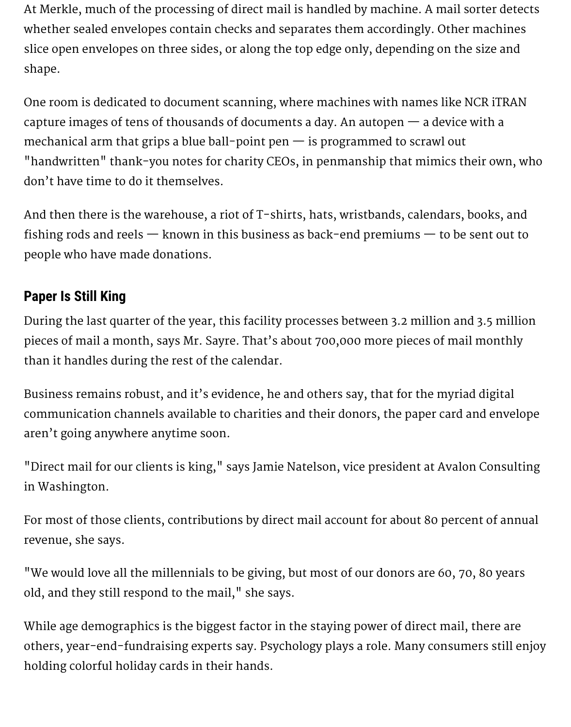At Merkle, much of the processing of direct mail is handled by machine. A mail sorter detects whether sealed envelopes contain checks and separates them accordingly. Other machines slice open envelopes on three sides, or along the top edge only, depending on the size and shape.

One room is dedicated to document scanning, where machines with names like NCR iTRAN capture images of tens of thousands of documents a day. An autopen — a device with a mechanical arm that grips a blue ball-point pen  $-$  is programmed to scrawl out "handwritten" thank-you notes for charity CEOs, in penmanship that mimics their own, who don't have time to do it themselves.

And then there is the warehouse, a riot of T-shirts, hats, wristbands, calendars, books, and fishing rods and reels — known in this business as back-end premiums — to be sent out to people who have made donations.

## **Paper Is Still King**

During the last quarter of the year, this facility processes between 3.2 million and 3.5 million pieces of mail a month, says Mr. Sayre. That's about 700,000 more pieces of mail monthly than it handles during the rest of the calendar.

Business remains robust, and it's evidence, he and others say, that for the myriad digital communication channels available to charities and their donors, the paper card and envelope aren't going anywhere anytime soon.

"Direct mail for our clients is king," says Jamie Natelson, vice president at Avalon Consulting in Washington.

For most of those clients, contributions by direct mail account for about 80 percent of annual revenue, she says.

"We would love all the millennials to be giving, but most of our donors are 60, 70, 80 years old, and they still respond to the mail," she says.

While age demographics is the biggest factor in the staying power of direct mail, there are others, year-end-fundraising experts say. Psychology plays a role. Many consumers still enjoy holding colorful holiday cards in their hands.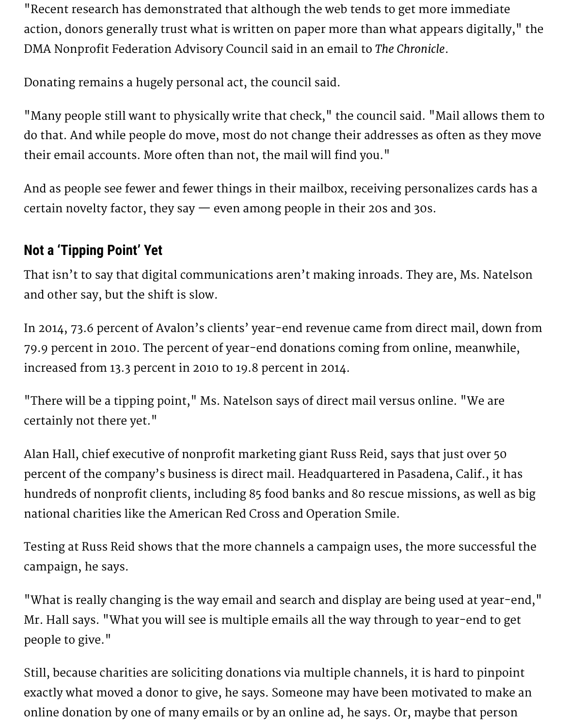"Recent research has demonstrated that although the web tends to get more immediate action, donors generally trust what is written on paper more than what appears digitally," the DMA Nonprofit Federation Advisory Council said in an email to *The Chronicle*.

Donating remains a hugely personal act, the council said.

"Many people still want to physically write that check," the council said. "Mail allows them to do that. And while people do move, most do not change their addresses as often as they move their email accounts. More often than not, the mail will find you."

And as people see fewer and fewer things in their mailbox, receiving personalizes cards has a certain novelty factor, they say  $-$  even among people in their 20s and 30s.

### **Not a 'Tipping Point' Yet**

That isn't to say that [digital communications](https://philanthropy.com/article/On-Giving-Tuesday-17-of/234544) aren't making inroads. They are, Ms. Natelson and other say, but the shift is slow.

In 2014, 73.6 percent of Avalon's clients' year-end revenue came from direct mail, down from 79.9 percent in 2010. The percent of year-end donations coming from online, meanwhile, increased from 13.3 percent in 2010 to 19.8 percent in 2014.

"There will be a tipping point," Ms. Natelson says of direct mail versus online. "We are certainly not there yet."

Alan Hall, chief executive of nonprofit marketing giant Russ Reid, says that just over 50 percent of the company's business is direct mail. Headquartered in Pasadena, Calif., it has hundreds of nonprofit clients, including 85 food banks and 80 rescue missions, as well as big national charities like the American Red Cross and Operation Smile.

Testing at Russ Reid shows that the more channels a campaign uses, the more successful the campaign, he says.

"What is really changing is the way email and search and display are being used at year-end," Mr. Hall says. "What you will see is multiple emails all the way through to year-end to get people to give."

Still, because charities are soliciting donations via multiple channels, it is hard to pinpoint exactly what moved a donor to give, he says. Someone may have been motivated to make an [online donation](https://philanthropy.com/interactives/online-giving-dashboard) by one of many emails or by an online ad, he says. Or, maybe that person